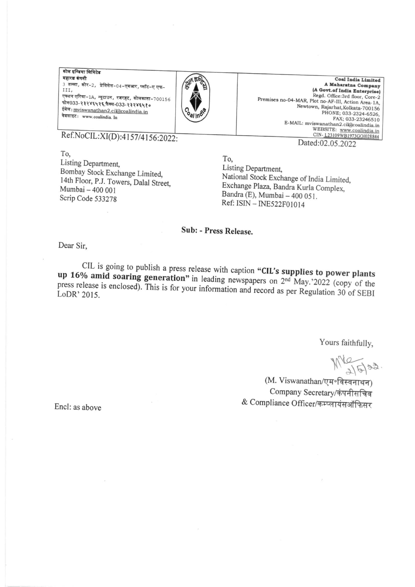कोल इण्डिया लिमिटेड महारत्न कंपनी 3 तल्ला, कोर-2, प्रेमिसेस-04-एमआर, प्लॉट-ए एफ-III, एक्शन एरिया-1A, न्यूटाउन, रजरहट, कोलकाता-700156 फोन033-२३२४६५२६,फैक्स-033-२३२४६५१० ईमेल: mviswanathan2.cil@coalindia.in वेबसाइट: www.coalindia. In



**Coal India Limited** A Maharatna Company (A Govt.of India Enterprise) Regd. Office:3rd floor, Core-2 Premises no-04-MAR, Plot no-AF-III, Action Area-1A, Newtown, Rajarhat, Kolkata-700156 PHONE; 033-2324-6526, FAX; 033-23246510 E-MAIL: mviswanathan2.cil@coalindia.in WEBSITE: www.coalindia.in CIN-123109WB1973GOI028844 Dated:02.05.2022

Ref.NoCIL:XI(D):4157/4156:2022:

To, Listing Department. Bombay Stock Exchange Limited, 14th Floor, P.J. Towers, Dalal Street, Mumbai - 400 001 Scrip Code 533278

To. Listing Department, National Stock Exchange of India Limited, Exchange Plaza, Bandra Kurla Complex, Bandra (E), Mumbai - 400 051. Ref: ISIN - INE522F01014

## Sub: - Press Release.

Dear Sir,

CIL is going to publish a press release with caption "CIL's supplies to power plants up 16% amid soaring generation" in leading newspapers on 2<sup>nd</sup> May.'2022 (copy of the press release is enclosed). This is for your information and record as per Regulation 30 of SEBI LoDR' 2015.

Yours faithfully,

 $M_{15}$  as.

(M. Viswanathan/एम॰विस्वनाथन) Company Secretary/कंपनीसचिव & Compliance Officer/कम्प्लायंसऑफिसर

Encl: as above